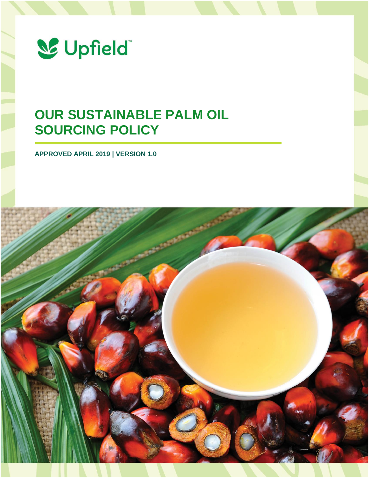

# **OUR SUSTAINABLE PALM OIL SOURCING POLICY**

**APPROVED APRIL 2019 | VERSION 1.0**

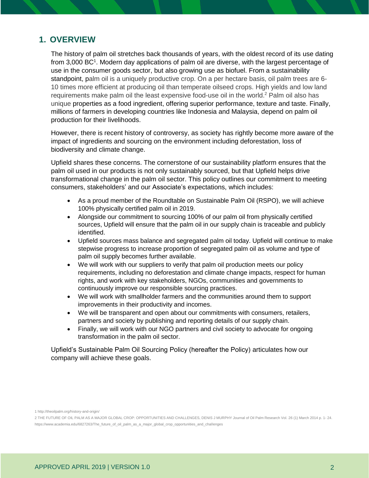# **1. OVERVIEW**

The history of palm oil stretches back thousands of years, with the oldest record of its use dating from 3,000 BC<sup>1</sup>. Modern day applications of palm oil are diverse, with the largest percentage of use in the consumer goods sector, but also growing use as biofuel. From a sustainability standpoint, palm oil is a uniquely productive crop. On a per hectare basis, oil palm trees are 6- 10 times more efficient at producing oil than temperate oilseed crops. High yields and low land requirements make palm oil the least expensive food-use oil in the world.<sup>2</sup> Palm oil also has unique properties as a food ingredient, offering superior performance, texture and taste. Finally, millions of farmers in developing countries like Indonesia and Malaysia, depend on palm oil production for their livelihoods.

However, there is recent history of controversy, as society has rightly become more aware of the impact of ingredients and sourcing on the environment including deforestation, loss of biodiversity and climate change.

Upfield shares these concerns. The cornerstone of our sustainability platform ensures that the palm oil used in our products is not only sustainably sourced, but that Upfield helps drive transformational change in the palm oil sector. This policy outlines our commitment to meeting consumers, stakeholders' and our Associate's expectations, which includes:

- As a proud member of the Roundtable on Sustainable Palm Oil (RSPO), we will achieve 100% physically certified palm oil in 2019.
- Alongside our commitment to sourcing 100% of our palm oil from physically certified sources, Upfield will ensure that the palm oil in our supply chain is traceable and publicly identified.
- Upfield sources mass balance and segregated palm oil today. Upfield will continue to make stepwise progress to increase proportion of segregated palm oil as volume and type of palm oil supply becomes further available.
- We will work with our suppliers to verify that palm oil production meets our policy requirements, including no deforestation and climate change impacts, respect for human rights, and work with key stakeholders, NGOs, communities and governments to continuously improve our responsible sourcing practices.
- We will work with smallholder farmers and the communities around them to support improvements in their productivity and incomes.
- We will be transparent and open about our commitments with consumers, retailers, partners and society by publishing and reporting details of our supply chain.
- Finally, we will work with our NGO partners and civil society to advocate for ongoing transformation in the palm oil sector.

Upfield's Sustainable Palm Oil Sourcing Policy (hereafter the Policy) articulates how our company will achieve these goals.

1 http://theoilpalm.org/history-and-origin/

<sup>2</sup> THE FUTURE OF OIL PALM AS A MAJOR GLOBAL CROP: OPPORTUNITIES AND CHALLENGES, DENIS J MURPHY Journal of Oil Palm Research Vol. 26 (1) March 2014 p. 1- 24. https://www.academia.edu/6827263/The\_future\_of\_oil\_palm\_as\_a\_major\_global\_crop\_opportunities\_and\_challenges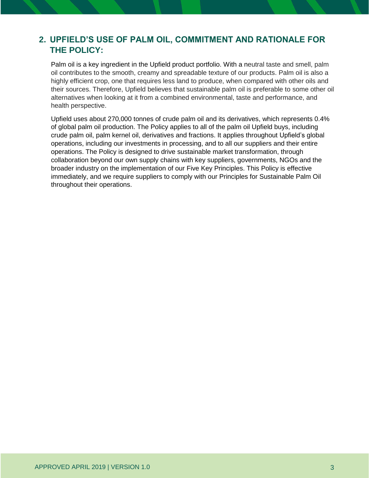# **2. UPFIELD'S USE OF PALM OIL, COMMITMENT AND RATIONALE FOR THE POLICY:**

Palm oil is a key ingredient in the Upfield product portfolio. With a neutral taste and smell, palm oil contributes to the smooth, creamy and spreadable texture of our products. Palm oil is also a highly efficient crop, one that requires less land to produce, when compared with other oils and their sources. Therefore, Upfield believes that sustainable palm oil is preferable to some other oil alternatives when looking at it from a combined environmental, taste and performance, and health perspective.

Upfield uses about 270,000 tonnes of crude palm oil and its derivatives, which represents 0.4% of global palm oil production. The Policy applies to all of the palm oil Upfield buys, including crude palm oil, palm kernel oil, derivatives and fractions. It applies throughout Upfield's global operations, including our investments in processing, and to all our suppliers and their entire operations. The Policy is designed to drive sustainable market transformation, through collaboration beyond our own supply chains with key suppliers, governments, NGOs and the broader industry on the implementation of our Five Key Principles. This Policy is effective immediately, and we require suppliers to comply with our Principles for Sustainable Palm Oil throughout their operations.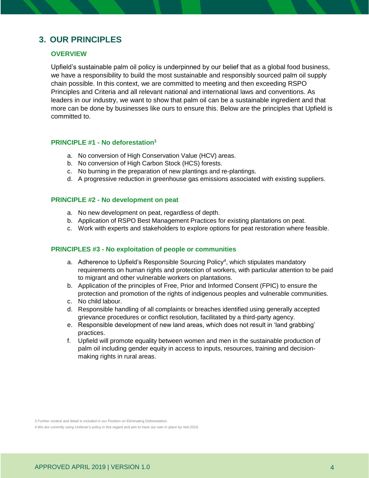# **3. OUR PRINCIPLES**

# **OVERVIEW**

Upfield's sustainable palm oil policy is underpinned by our belief that as a global food business, we have a responsibility to build the most sustainable and responsibly sourced palm oil supply chain possible. In this context, we are committed to meeting and then exceeding RSPO Principles and Criteria and all relevant national and international laws and conventions. As leaders in our industry, we want to show that palm oil can be a sustainable ingredient and that more can be done by businesses like ours to ensure this. Below are the principles that Upfield is committed to.

#### **PRINCIPLE #1 - No deforestation<sup>3</sup>**

- a. No conversion of High Conservation Value (HCV) areas.
- b. No conversion of High Carbon Stock (HCS) forests.
- c. No burning in the preparation of new plantings and re-plantings.
- d. A progressive reduction in greenhouse gas emissions associated with existing suppliers.

#### **PRINCIPLE #2 - No development on peat**

- a. No new development on peat, regardless of depth.
- b. Application of RSPO Best Management Practices for existing plantations on peat.
- c. Work with experts and stakeholders to explore options for peat restoration where feasible.

# **PRINCIPLES #3 - No exploitation of people or communities**

- a. Adherence to Upfield's Responsible Sourcing Policy<sup>4</sup>, which stipulates mandatory requirements on human rights and protection of workers, with particular attention to be paid to migrant and other vulnerable workers on plantations.
- b. Application of the principles of Free, Prior and Informed Consent (FPIC) to ensure the protection and promotion of the rights of indigenous peoples and vulnerable communities.
- c. No child labour.
- d. Responsible handling of all complaints or breaches identified using generally accepted grievance procedures or conflict resolution, facilitated by a third-party agency.
- e. Responsible development of new land areas, which does not result in 'land grabbing' practices.
- f. Upfield will promote equality between women and men in the sustainable production of palm oil including gender equity in access to inputs, resources, training and decisionmaking rights in rural areas.

3 Further context and detail is included in our Position on Eliminating Deforestation.

4 We are currently using Unilever's policy in this regard and aim to have our own in place by mid-2019.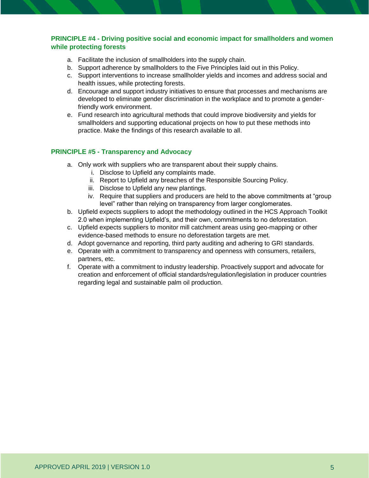# **PRINCIPLE #4 - Driving positive social and economic impact for smallholders and women while protecting forests**

- a. Facilitate the inclusion of smallholders into the supply chain.
- b. Support adherence by smallholders to the Five Principles laid out in this Policy.
- c. Support interventions to increase smallholder yields and incomes and address social and health issues, while protecting forests.
- d. Encourage and support industry initiatives to ensure that processes and mechanisms are developed to eliminate gender discrimination in the workplace and to promote a genderfriendly work environment.
- e. Fund research into agricultural methods that could improve biodiversity and yields for smallholders and supporting educational projects on how to put these methods into practice. Make the findings of this research available to all.

# **PRINCIPLE #5 - Transparency and Advocacy**

- a. Only work with suppliers who are transparent about their supply chains.
	- i. Disclose to Upfield any complaints made.
	- ii. Report to Upfield any breaches of the Responsible Sourcing Policy.
	- iii. Disclose to Upfield any new plantings.
	- iv. Require that suppliers and producers are held to the above commitments at "group level" rather than relying on transparency from larger conglomerates.
- b. Upfield expects suppliers to adopt the methodology outlined in the HCS Approach Toolkit 2.0 when implementing Upfield's, and their own, commitments to no deforestation.
- c. Upfield expects suppliers to monitor mill catchment areas using geo-mapping or other evidence-based methods to ensure no deforestation targets are met.
- d. Adopt governance and reporting, third party auditing and adhering to GRI standards.
- e. Operate with a commitment to transparency and openness with consumers, retailers, partners, etc.
- f. Operate with a commitment to industry leadership. Proactively support and advocate for creation and enforcement of official standards/regulation/legislation in producer countries regarding legal and sustainable palm oil production.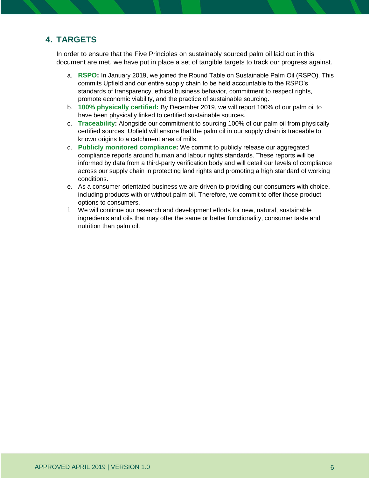# **4. TARGETS**

In order to ensure that the Five Principles on sustainably sourced palm oil laid out in this document are met, we have put in place a set of tangible targets to track our progress against.

- a. **RSPO:** In January 2019, we joined the Round Table on Sustainable Palm Oil (RSPO). This commits Upfield and our entire supply chain to be held accountable to the RSPO's standards of transparency, ethical business behavior, commitment to respect rights, promote economic viability, and the practice of sustainable sourcing.
- b. **100% physically certified:** By December 2019, we will report 100% of our palm oil to have been physically linked to certified sustainable sources.
- c. **Traceability:** Alongside our commitment to sourcing 100% of our palm oil from physically certified sources, Upfield will ensure that the palm oil in our supply chain is traceable to known origins to a catchment area of mills.
- d. **Publicly monitored compliance:** We commit to publicly release our aggregated compliance reports around human and labour rights standards. These reports will be informed by data from a third-party verification body and will detail our levels of compliance across our supply chain in protecting land rights and promoting a high standard of working conditions.
- e. As a consumer-orientated business we are driven to providing our consumers with choice, including products with or without palm oil. Therefore, we commit to offer those product options to consumers.
- f. We will continue our research and development efforts for new, natural, sustainable ingredients and oils that may offer the same or better functionality, consumer taste and nutrition than palm oil.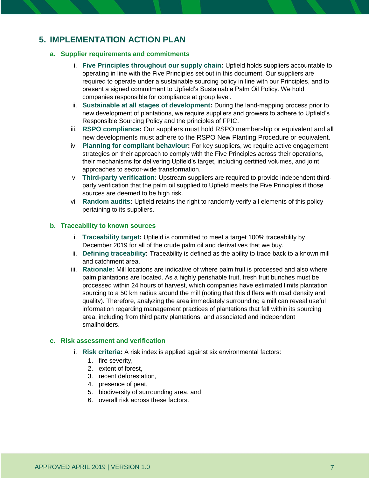# **5. IMPLEMENTATION ACTION PLAN**

## **a. Supplier requirements and commitments**

- i. **Five Principles throughout our supply chain:** Upfield holds suppliers accountable to operating in line with the Five Principles set out in this document. Our suppliers are required to operate under a sustainable sourcing policy in line with our Principles, and to present a signed commitment to Upfield's Sustainable Palm Oil Policy. We hold companies responsible for compliance at group level.
- ii. **Sustainable at all stages of development:** During the land-mapping process prior to new development of plantations, we require suppliers and growers to adhere to Upfield's Responsible Sourcing Policy and the principles of FPIC.
- iii. **RSPO compliance:** Our suppliers must hold RSPO membership or equivalent and all new developments must adhere to the RSPO New Planting Procedure or equivalent.
- iv. **Planning for compliant behaviour:** For key suppliers, we require active engagement strategies on their approach to comply with the Five Principles across their operations, their mechanisms for delivering Upfield's target, including certified volumes, and joint approaches to sector-wide transformation.
- v. **Third-party verification:** Upstream suppliers are required to provide independent thirdparty verification that the palm oil supplied to Upfield meets the Five Principles if those sources are deemed to be high risk.
- vi. **Random audits:** Upfield retains the right to randomly verify all elements of this policy pertaining to its suppliers.

## **b. Traceability to known sources**

- i. **Traceability target:** Upfield is committed to meet a target 100% traceability by December 2019 for all of the crude palm oil and derivatives that we buy.
- ii. **Defining traceability:** Traceability is defined as the ability to trace back to a known mill and catchment area.
- iii. **Rationale:** Mill locations are indicative of where palm fruit is processed and also where palm plantations are located. As a highly perishable fruit, fresh fruit bunches must be processed within 24 hours of harvest, which companies have estimated limits plantation sourcing to a 50 km radius around the mill (noting that this differs with road density and quality). Therefore, analyzing the area immediately surrounding a mill can reveal useful information regarding management practices of plantations that fall within its sourcing area, including from third party plantations, and associated and independent smallholders.

# **c. Risk assessment and verification**

- i. **Risk criteria:** A risk index is applied against six environmental factors:
	- 1. fire severity,
	- 2. extent of forest,
	- 3. recent deforestation,
	- 4. presence of peat,
	- 5. biodiversity of surrounding area, and
	- 6. overall risk across these factors.